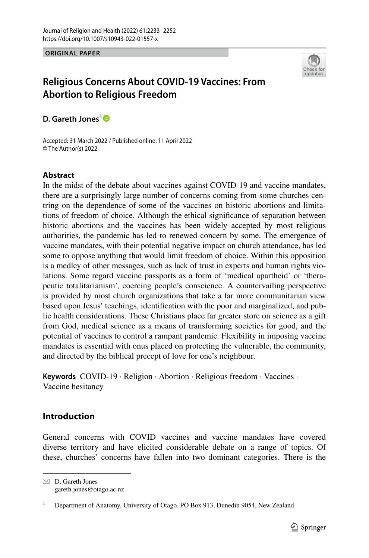**ORIGINAL PAPER**



# **Religious Concerns About COVID‑19 Vaccines: From Abortion to Religious Freedom**

**D. Gareth Jones[1](http://orcid.org/0000-0002-4671-6819)**

Accepted: 31 March 2022 / Published online: 11 April 2022 © The Author(s) 2022

# **Abstract**

In the midst of the debate about vaccines against COVID-19 and vaccine mandates, there are a surprisingly large number of concerns coming from some churches centring on the dependence of some of the vaccines on historic abortions and limitations of freedom of choice. Although the ethical signifcance of separation between historic abortions and the vaccines has been widely accepted by most religious authorities, the pandemic has led to renewed concern by some. The emergence of vaccine mandates, with their potential negative impact on church attendance, has led some to oppose anything that would limit freedom of choice. Within this opposition is a medley of other messages, such as lack of trust in experts and human rights violations. Some regard vaccine passports as a form of 'medical apartheid' or 'therapeutic totalitarianism', coercing people's conscience. A countervailing perspective is provided by most church organizations that take a far more communitarian view based upon Jesus' teachings, identifcation with the poor and marginalized, and public health considerations. These Christians place far greater store on science as a gift from God, medical science as a means of transforming societies for good, and the potential of vaccines to control a rampant pandemic. Flexibility in imposing vaccine mandates is essential with onus placed on protecting the vulnerable, the community, and directed by the biblical precept of love for one's neighbour.

**Keywords** COVID-19 · Religion · Abortion · Religious freedom · Vaccines · Vaccine hesitancy

# **Introduction**

General concerns with COVID vaccines and vaccine mandates have covered diverse territory and have elicited considerable debate on a range of topics. Of these, churches' concerns have fallen into two dominant categories. There is the

 $\boxtimes$  D. Gareth Jones gareth.jones@otago.ac.nz

<sup>1</sup> Department of Anatomy, University of Otago, PO Box 913, Dunedin 9054, New Zealand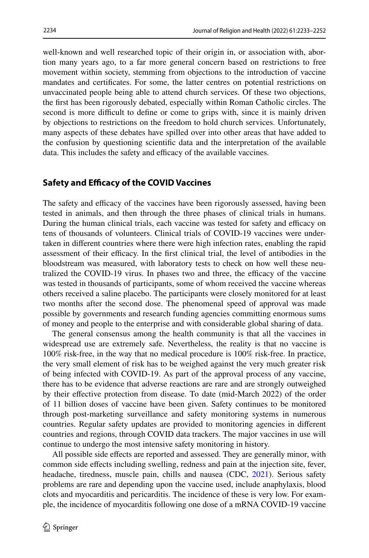well-known and well researched topic of their origin in, or association with, abortion many years ago, to a far more general concern based on restrictions to free movement within society, stemming from objections to the introduction of vaccine mandates and certifcates. For some, the latter centres on potential restrictions on unvaccinated people being able to attend church services. Of these two objections, the frst has been rigorously debated, especially within Roman Catholic circles. The second is more difficult to define or come to grips with, since it is mainly driven by objections to restrictions on the freedom to hold church services. Unfortunately, many aspects of these debates have spilled over into other areas that have added to the confusion by questioning scientifc data and the interpretation of the available data. This includes the safety and efficacy of the available vaccines.

# **Safety and Efficacy of the COVID Vaccines**

The safety and efficacy of the vaccines have been rigorously assessed, having been tested in animals, and then through the three phases of clinical trials in humans. During the human clinical trials, each vaccine was tested for safety and efficacy on tens of thousands of volunteers. Clinical trials of COVID-19 vaccines were undertaken in diferent countries where there were high infection rates, enabling the rapid assessment of their efficacy. In the first clinical trial, the level of antibodies in the bloodstream was measured, with laboratory tests to check on how well these neutralized the COVID-19 virus. In phases two and three, the efficacy of the vaccine was tested in thousands of participants, some of whom received the vaccine whereas others received a saline placebo. The participants were closely monitored for at least two months after the second dose. The phenomenal speed of approval was made possible by governments and research funding agencies committing enormous sums of money and people to the enterprise and with considerable global sharing of data.

The general consensus among the health community is that all the vaccines in widespread use are extremely safe. Nevertheless, the reality is that no vaccine is 100% risk-free, in the way that no medical procedure is 100% risk-free. In practice, the very small element of risk has to be weighed against the very much greater risk of being infected with COVID-19. As part of the approval process of any vaccine, there has to be evidence that adverse reactions are rare and are strongly outweighed by their efective protection from disease. To date (mid-March 2022) of the order of 11 billion doses of vaccine have been given. Safety continues to be monitored through post-marketing surveillance and safety monitoring systems in numerous countries. Regular safety updates are provided to monitoring agencies in diferent countries and regions, through COVID data trackers. The major vaccines in use will continue to undergo the most intensive safety monitoring in history.

All possible side efects are reported and assessed. They are generally minor, with common side efects including swelling, redness and pain at the injection site, fever, headache, tiredness, muscle pain, chills and nausea (CDC, [2021](#page-17-0)). Serious safety problems are rare and depending upon the vaccine used, include anaphylaxis, blood clots and myocarditis and pericarditis. The incidence of these is very low. For example, the incidence of myocarditis following one dose of a mRNA COVID-19 vaccine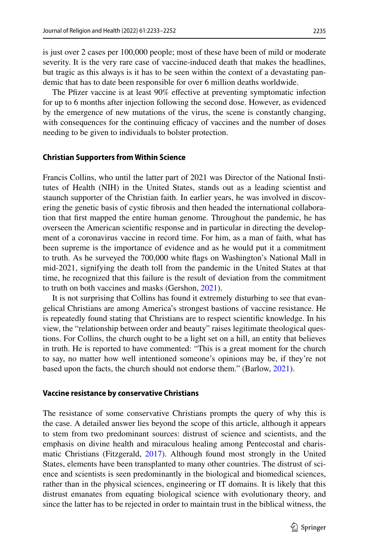is just over 2 cases per 100,000 people; most of these have been of mild or moderate severity. It is the very rare case of vaccine-induced death that makes the headlines, but tragic as this always is it has to be seen within the context of a devastating pandemic that has to date been responsible for over 6 million deaths worldwide.

The Pfizer vaccine is at least 90% effective at preventing symptomatic infection for up to 6 months after injection following the second dose. However, as evidenced by the emergence of new mutations of the virus, the scene is constantly changing, with consequences for the continuing efficacy of vaccines and the number of doses needing to be given to individuals to bolster protection.

#### **Christian Supporters from Within Science**

Francis Collins, who until the latter part of 2021 was Director of the National Institutes of Health (NIH) in the United States, stands out as a leading scientist and staunch supporter of the Christian faith. In earlier years, he was involved in discovering the genetic basis of cystic fbrosis and then headed the international collaboration that frst mapped the entire human genome. Throughout the pandemic, he has overseen the American scientifc response and in particular in directing the development of a coronavirus vaccine in record time. For him, as a man of faith, what has been supreme is the importance of evidence and as he would put it a commitment to truth. As he surveyed the 700,000 white fags on Washington's National Mall in mid-2021, signifying the death toll from the pandemic in the United States at that time, he recognized that this failure is the result of deviation from the commitment to truth on both vaccines and masks (Gershon, [2021](#page-17-1)).

It is not surprising that Collins has found it extremely disturbing to see that evangelical Christians are among America's strongest bastions of vaccine resistance. He is repeatedly found stating that Christians are to respect scientifc knowledge. In his view, the "relationship between order and beauty" raises legitimate theological questions. For Collins, the church ought to be a light set on a hill, an entity that believes in truth. He is reported to have commented: "This is a great moment for the church to say, no matter how well intentioned someone's opinions may be, if they're not based upon the facts, the church should not endorse them." (Barlow, [2021](#page-17-2)).

#### **Vaccine resistance by conservative Christians**

The resistance of some conservative Christians prompts the query of why this is the case. A detailed answer lies beyond the scope of this article, although it appears to stem from two predominant sources: distrust of science and scientists, and the emphasis on divine health and miraculous healing among Pentecostal and charismatic Christians (Fitzgerald, [2017\)](#page-17-3). Although found most strongly in the United States, elements have been transplanted to many other countries. The distrust of science and scientists is seen predominantly in the biological and biomedical sciences, rather than in the physical sciences, engineering or IT domains. It is likely that this distrust emanates from equating biological science with evolutionary theory, and since the latter has to be rejected in order to maintain trust in the biblical witness, the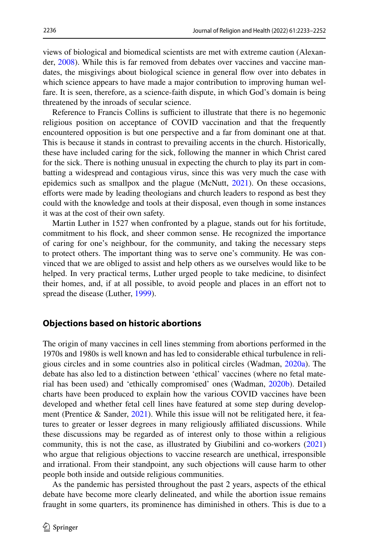views of biological and biomedical scientists are met with extreme caution (Alexander, [2008](#page-16-0)). While this is far removed from debates over vaccines and vaccine mandates, the misgivings about biological science in general fow over into debates in which science appears to have made a major contribution to improving human welfare. It is seen, therefore, as a science-faith dispute, in which God's domain is being threatened by the inroads of secular science.

Reference to Francis Collins is sufficient to illustrate that there is no hegemonic religious position on acceptance of COVID vaccination and that the frequently encountered opposition is but one perspective and a far from dominant one at that. This is because it stands in contrast to prevailing accents in the church. Historically, these have included caring for the sick, following the manner in which Christ cared for the sick. There is nothing unusual in expecting the church to play its part in combatting a widespread and contagious virus, since this was very much the case with epidemics such as smallpox and the plague (McNutt, [2021](#page-18-0)). On these occasions, efforts were made by leading theologians and church leaders to respond as best they could with the knowledge and tools at their disposal, even though in some instances it was at the cost of their own safety.

Martin Luther in 1527 when confronted by a plague, stands out for his fortitude, commitment to his fock, and sheer common sense. He recognized the importance of caring for one's neighbour, for the community, and taking the necessary steps to protect others. The important thing was to serve one's community. He was convinced that we are obliged to assist and help others as we ourselves would like to be helped. In very practical terms, Luther urged people to take medicine, to disinfect their homes, and, if at all possible, to avoid people and places in an efort not to spread the disease (Luther, [1999\)](#page-18-1).

## **Objections based on historic abortions**

The origin of many vaccines in cell lines stemming from abortions performed in the 1970s and 1980s is well known and has led to considerable ethical turbulence in religious circles and in some countries also in political circles (Wadman, [2020a\)](#page-18-2). The debate has also led to a distinction between 'ethical' vaccines (where no fetal material has been used) and 'ethically compromised' ones (Wadman, [2020b](#page-18-3)). Detailed charts have been produced to explain how the various COVID vaccines have been developed and whether fetal cell lines have featured at some step during development (Prentice & Sander,  $2021$ ). While this issue will not be relitigated here, it features to greater or lesser degrees in many religiously afliated discussions. While these discussions may be regarded as of interest only to those within a religious community, this is not the case, as illustrated by Giubilini and co-workers [\(2021](#page-17-4)) who argue that religious objections to vaccine research are unethical, irresponsible and irrational. From their standpoint, any such objections will cause harm to other people both inside and outside religious communities.

As the pandemic has persisted throughout the past 2 years, aspects of the ethical debate have become more clearly delineated, and while the abortion issue remains fraught in some quarters, its prominence has diminished in others. This is due to a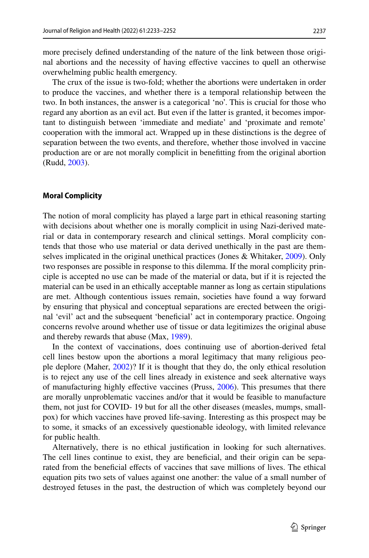more precisely defned understanding of the nature of the link between those original abortions and the necessity of having efective vaccines to quell an otherwise overwhelming public health emergency.

The crux of the issue is two-fold; whether the abortions were undertaken in order to produce the vaccines, and whether there is a temporal relationship between the two. In both instances, the answer is a categorical 'no'. This is crucial for those who regard any abortion as an evil act. But even if the latter is granted, it becomes important to distinguish between 'immediate and mediate' and 'proximate and remote' cooperation with the immoral act. Wrapped up in these distinctions is the degree of separation between the two events, and therefore, whether those involved in vaccine production are or are not morally complicit in beneftting from the original abortion (Rudd, [2003\)](#page-18-5).

#### **Moral Complicity**

The notion of moral complicity has played a large part in ethical reasoning starting with decisions about whether one is morally complicit in using Nazi-derived material or data in contemporary research and clinical settings. Moral complicity contends that those who use material or data derived unethically in the past are themselves implicated in the original unethical practices (Jones & Whitaker, [2009](#page-17-5)). Only two responses are possible in response to this dilemma. If the moral complicity principle is accepted no use can be made of the material or data, but if it is rejected the material can be used in an ethically acceptable manner as long as certain stipulations are met. Although contentious issues remain, societies have found a way forward by ensuring that physical and conceptual separations are erected between the original 'evil' act and the subsequent 'benefcial' act in contemporary practice. Ongoing concerns revolve around whether use of tissue or data legitimizes the original abuse and thereby rewards that abuse (Max, [1989](#page-18-6)).

In the context of vaccinations, does continuing use of abortion-derived fetal cell lines bestow upon the abortions a moral legitimacy that many religious people deplore (Maher, [2002\)](#page-18-7)? If it is thought that they do, the only ethical resolution is to reject any use of the cell lines already in existence and seek alternative ways of manufacturing highly efective vaccines (Pruss, [2006\)](#page-18-8). This presumes that there are morally unproblematic vaccines and/or that it would be feasible to manufacture them, not just for COVID- 19 but for all the other diseases (measles, mumps, smallpox) for which vaccines have proved life-saving. Interesting as this prospect may be to some, it smacks of an excessively questionable ideology, with limited relevance for public health.

Alternatively, there is no ethical justifcation in looking for such alternatives. The cell lines continue to exist, they are benefcial, and their origin can be separated from the benefcial efects of vaccines that save millions of lives. The ethical equation pits two sets of values against one another: the value of a small number of destroyed fetuses in the past, the destruction of which was completely beyond our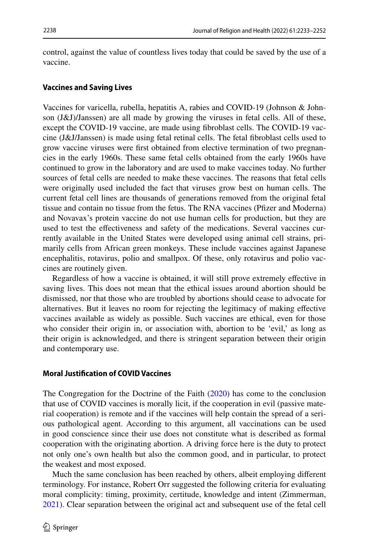control, against the value of countless lives today that could be saved by the use of a vaccine.

### **Vaccines and Saving Lives**

Vaccines for varicella, rubella, hepatitis A, rabies and COVID-19 (Johnson & Johnson (J&J)/Janssen) are all made by growing the viruses in fetal cells. All of these, except the COVID-19 vaccine, are made using fbroblast cells. The COVID-19 vaccine (J&J/Janssen) is made using fetal retinal cells. The fetal fbroblast cells used to grow vaccine viruses were frst obtained from elective termination of two pregnancies in the early 1960s. These same fetal cells obtained from the early 1960s have continued to grow in the laboratory and are used to make vaccines today. No further sources of fetal cells are needed to make these vaccines. The reasons that fetal cells were originally used included the fact that viruses grow best on human cells. The current fetal cell lines are thousands of generations removed from the original fetal tissue and contain no tissue from the fetus. The RNA vaccines (Pfzer and Moderna) and Novavax's protein vaccine do not use human cells for production, but they are used to test the efectiveness and safety of the medications. Several vaccines currently available in the United States were developed using animal cell strains, primarily cells from African green monkeys. These include vaccines against Japanese encephalitis, rotavirus, polio and smallpox. Of these, only rotavirus and polio vaccines are routinely given.

Regardless of how a vaccine is obtained, it will still prove extremely efective in saving lives. This does not mean that the ethical issues around abortion should be dismissed, nor that those who are troubled by abortions should cease to advocate for alternatives. But it leaves no room for rejecting the legitimacy of making efective vaccines available as widely as possible. Such vaccines are ethical, even for those who consider their origin in, or association with, abortion to be 'evil,' as long as their origin is acknowledged, and there is stringent separation between their origin and contemporary use.

### **Moral Justifcation of COVID Vaccines**

The Congregation for the Doctrine of the Faith [\(2020](#page-17-6)) has come to the conclusion that use of COVID vaccines is morally licit, if the cooperation in evil (passive material cooperation) is remote and if the vaccines will help contain the spread of a serious pathological agent. According to this argument, all vaccinations can be used in good conscience since their use does not constitute what is described as formal cooperation with the originating abortion. A driving force here is the duty to protect not only one's own health but also the common good, and in particular, to protect the weakest and most exposed.

Much the same conclusion has been reached by others, albeit employing diferent terminology. For instance, Robert Orr suggested the following criteria for evaluating moral complicity: timing, proximity, certitude, knowledge and intent (Zimmerman, [2021](#page-18-9)). Clear separation between the original act and subsequent use of the fetal cell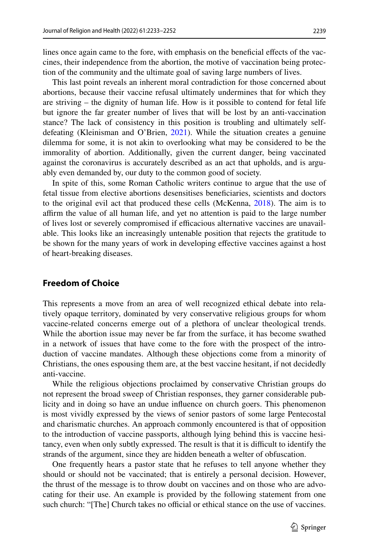lines once again came to the fore, with emphasis on the benefcial efects of the vaccines, their independence from the abortion, the motive of vaccination being protection of the community and the ultimate goal of saving large numbers of lives.

This last point reveals an inherent moral contradiction for those concerned about abortions, because their vaccine refusal ultimately undermines that for which they are striving – the dignity of human life. How is it possible to contend for fetal life but ignore the far greater number of lives that will be lost by an anti-vaccination stance? The lack of consistency in this position is troubling and ultimately selfdefeating (Kleinisman and O'Brien, [2021](#page-17-7)). While the situation creates a genuine dilemma for some, it is not akin to overlooking what may be considered to be the immorality of abortion. Additionally, given the current danger, being vaccinated against the coronavirus is accurately described as an act that upholds, and is arguably even demanded by, our duty to the common good of society.

In spite of this, some Roman Catholic writers continue to argue that the use of fetal tissue from elective abortions desensitises benefciaries, scientists and doctors to the original evil act that produced these cells (McKenna, [2018\)](#page-18-10). The aim is to afrm the value of all human life, and yet no attention is paid to the large number of lives lost or severely compromised if efcacious alternative vaccines are unavailable. This looks like an increasingly untenable position that rejects the gratitude to be shown for the many years of work in developing efective vaccines against a host of heart-breaking diseases.

# **Freedom of Choice**

This represents a move from an area of well recognized ethical debate into relatively opaque territory, dominated by very conservative religious groups for whom vaccine-related concerns emerge out of a plethora of unclear theological trends. While the abortion issue may never be far from the surface, it has become swathed in a network of issues that have come to the fore with the prospect of the introduction of vaccine mandates. Although these objections come from a minority of Christians, the ones espousing them are, at the best vaccine hesitant, if not decidedly anti-vaccine.

While the religious objections proclaimed by conservative Christian groups do not represent the broad sweep of Christian responses, they garner considerable publicity and in doing so have an undue infuence on church goers. This phenomenon is most vividly expressed by the views of senior pastors of some large Pentecostal and charismatic churches. An approach commonly encountered is that of opposition to the introduction of vaccine passports, although lying behind this is vaccine hesitancy, even when only subtly expressed. The result is that it is difficult to identify the strands of the argument, since they are hidden beneath a welter of obfuscation.

One frequently hears a pastor state that he refuses to tell anyone whether they should or should not be vaccinated; that is entirely a personal decision. However, the thrust of the message is to throw doubt on vaccines and on those who are advocating for their use. An example is provided by the following statement from one such church: "[The] Church takes no official or ethical stance on the use of vaccines.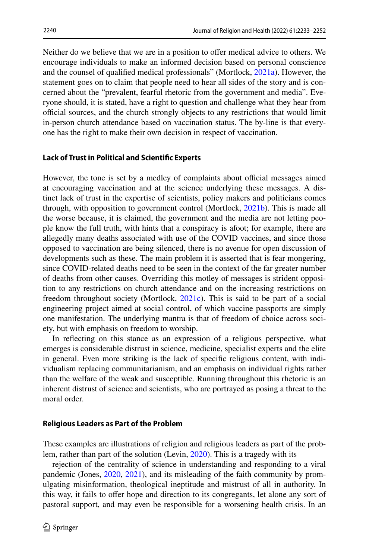Neither do we believe that we are in a position to ofer medical advice to others. We encourage individuals to make an informed decision based on personal conscience and the counsel of qualifed medical professionals" (Mortlock, [2021a](#page-18-11)). However, the statement goes on to claim that people need to hear all sides of the story and is concerned about the "prevalent, fearful rhetoric from the government and media". Everyone should, it is stated, have a right to question and challenge what they hear from official sources, and the church strongly objects to any restrictions that would limit in-person church attendance based on vaccination status. The by-line is that everyone has the right to make their own decision in respect of vaccination.

#### **Lack of Trust in Political and Scientifc Experts**

However, the tone is set by a medley of complaints about official messages aimed at encouraging vaccination and at the science underlying these messages. A distinct lack of trust in the expertise of scientists, policy makers and politicians comes through, with opposition to government control (Mortlock, [2021b](#page-18-12)). This is made all the worse because, it is claimed, the government and the media are not letting people know the full truth, with hints that a conspiracy is afoot; for example, there are allegedly many deaths associated with use of the COVID vaccines, and since those opposed to vaccination are being silenced, there is no avenue for open discussion of developments such as these. The main problem it is asserted that is fear mongering, since COVID-related deaths need to be seen in the context of the far greater number of deaths from other causes. Overriding this motley of messages is strident opposition to any restrictions on church attendance and on the increasing restrictions on freedom throughout society (Mortlock, [2021c](#page-18-13)). This is said to be part of a social engineering project aimed at social control, of which vaccine passports are simply one manifestation. The underlying mantra is that of freedom of choice across society, but with emphasis on freedom to worship.

In refecting on this stance as an expression of a religious perspective, what emerges is considerable distrust in science, medicine, specialist experts and the elite in general. Even more striking is the lack of specifc religious content, with individualism replacing communitarianism, and an emphasis on individual rights rather than the welfare of the weak and susceptible. Running throughout this rhetoric is an inherent distrust of science and scientists, who are portrayed as posing a threat to the moral order.

#### **Religious Leaders as Part of the Problem**

These examples are illustrations of religion and religious leaders as part of the problem, rather than part of the solution (Levin, [2020\)](#page-17-8). This is a tragedy with its

rejection of the centrality of science in understanding and responding to a viral pandemic (Jones, [2020,](#page-17-9) [2021](#page-17-10)), and its misleading of the faith community by promulgating misinformation, theological ineptitude and mistrust of all in authority. In this way, it fails to offer hope and direction to its congregants, let alone any sort of pastoral support, and may even be responsible for a worsening health crisis. In an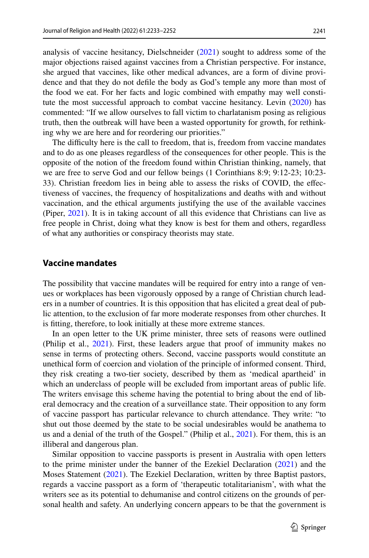2241

analysis of vaccine hesitancy, Dielschneider ([2021\)](#page-17-11) sought to address some of the major objections raised against vaccines from a Christian perspective. For instance, she argued that vaccines, like other medical advances, are a form of divine providence and that they do not defle the body as God's temple any more than most of the food we eat. For her facts and logic combined with empathy may well constitute the most successful approach to combat vaccine hesitancy. Levin ([2020\)](#page-17-8) has commented: "If we allow ourselves to fall victim to charlatanism posing as religious truth, then the outbreak will have been a wasted opportunity for growth, for rethinking why we are here and for reordering our priorities."

The difficulty here is the call to freedom, that is, freedom from vaccine mandates and to do as one pleases regardless of the consequences for other people. This is the opposite of the notion of the freedom found within Christian thinking, namely, that we are free to serve God and our fellow beings (1 Corinthians 8:9; 9:12-23; 10:23- 33). Christian freedom lies in being able to assess the risks of COVID, the efectiveness of vaccines, the frequency of hospitalizations and deaths with and without vaccination, and the ethical arguments justifying the use of the available vaccines (Piper, [2021\)](#page-18-14). It is in taking account of all this evidence that Christians can live as free people in Christ, doing what they know is best for them and others, regardless of what any authorities or conspiracy theorists may state.

### **Vaccine mandates**

The possibility that vaccine mandates will be required for entry into a range of venues or workplaces has been vigorously opposed by a range of Christian church leaders in a number of countries. It is this opposition that has elicited a great deal of public attention, to the exclusion of far more moderate responses from other churches. It is ftting, therefore, to look initially at these more extreme stances.

In an open letter to the UK prime minister, three sets of reasons were outlined (Philip et al., [2021](#page-18-15)). First, these leaders argue that proof of immunity makes no sense in terms of protecting others. Second, vaccine passports would constitute an unethical form of coercion and violation of the principle of informed consent. Third, they risk creating a two-tier society, described by them as 'medical apartheid' in which an underclass of people will be excluded from important areas of public life. The writers envisage this scheme having the potential to bring about the end of liberal democracy and the creation of a surveillance state. Their opposition to any form of vaccine passport has particular relevance to church attendance. They write: "to shut out those deemed by the state to be social undesirables would be anathema to us and a denial of the truth of the Gospel." (Philip et al., [2021](#page-18-15)). For them, this is an illiberal and dangerous plan.

Similar opposition to vaccine passports is present in Australia with open letters to the prime minister under the banner of the Ezekiel Declaration ([2021\)](#page-17-12) and the Moses Statement [\(2021](#page-18-16)). The Ezekiel Declaration, written by three Baptist pastors, regards a vaccine passport as a form of 'therapeutic totalitarianism', with what the writers see as its potential to dehumanise and control citizens on the grounds of personal health and safety. An underlying concern appears to be that the government is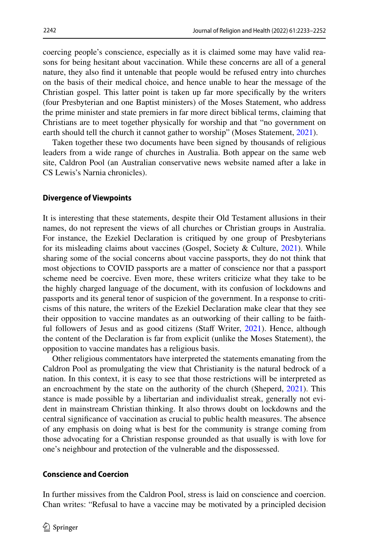coercing people's conscience, especially as it is claimed some may have valid reasons for being hesitant about vaccination. While these concerns are all of a general nature, they also fnd it untenable that people would be refused entry into churches on the basis of their medical choice, and hence unable to hear the message of the Christian gospel. This latter point is taken up far more specifcally by the writers (four Presbyterian and one Baptist ministers) of the Moses Statement, who address the prime minister and state premiers in far more direct biblical terms, claiming that Christians are to meet together physically for worship and that "no government on earth should tell the church it cannot gather to worship" (Moses Statement, [2021](#page-18-16)).

Taken together these two documents have been signed by thousands of religious leaders from a wide range of churches in Australia. Both appear on the same web site, Caldron Pool (an Australian conservative news website named after a lake in CS Lewis's Narnia chronicles).

#### **Divergence of Viewpoints**

It is interesting that these statements, despite their Old Testament allusions in their names, do not represent the views of all churches or Christian groups in Australia. For instance, the Ezekiel Declaration is critiqued by one group of Presbyterians for its misleading claims about vaccines (Gospel, Society & Culture, [2021\)](#page-17-13). While sharing some of the social concerns about vaccine passports, they do not think that most objections to COVID passports are a matter of conscience nor that a passport scheme need be coercive. Even more, these writers criticize what they take to be the highly charged language of the document, with its confusion of lockdowns and passports and its general tenor of suspicion of the government. In a response to criticisms of this nature, the writers of the Ezekiel Declaration make clear that they see their opposition to vaccine mandates as an outworking of their calling to be faith-ful followers of Jesus and as good citizens (Staff Writer, [2021\)](#page-18-17). Hence, although the content of the Declaration is far from explicit (unlike the Moses Statement), the opposition to vaccine mandates has a religious basis.

Other religious commentators have interpreted the statements emanating from the Caldron Pool as promulgating the view that Christianity is the natural bedrock of a nation. In this context, it is easy to see that those restrictions will be interpreted as an encroachment by the state on the authority of the church (Sheperd,  $2021$ ). This stance is made possible by a libertarian and individualist streak, generally not evident in mainstream Christian thinking. It also throws doubt on lockdowns and the central signifcance of vaccination as crucial to public health measures. The absence of any emphasis on doing what is best for the community is strange coming from those advocating for a Christian response grounded as that usually is with love for one's neighbour and protection of the vulnerable and the dispossessed.

#### **Conscience and Coercion**

In further missives from the Caldron Pool, stress is laid on conscience and coercion. Chan writes: "Refusal to have a vaccine may be motivated by a principled decision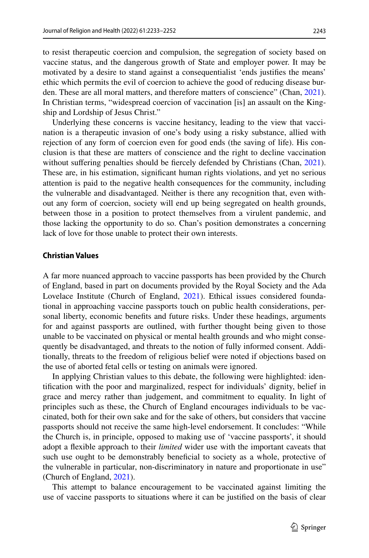to resist therapeutic coercion and compulsion, the segregation of society based on vaccine status, and the dangerous growth of State and employer power. It may be motivated by a desire to stand against a consequentialist 'ends justifes the means' ethic which permits the evil of coercion to achieve the good of reducing disease burden. These are all moral matters, and therefore matters of conscience" (Chan, [2021\)](#page-17-14). In Christian terms, "widespread coercion of vaccination [is] an assault on the Kingship and Lordship of Jesus Christ."

Underlying these concerns is vaccine hesitancy, leading to the view that vaccination is a therapeutic invasion of one's body using a risky substance, allied with rejection of any form of coercion even for good ends (the saving of life). His conclusion is that these are matters of conscience and the right to decline vaccination without suffering penalties should be fiercely defended by Christians (Chan, [2021\)](#page-17-14). These are, in his estimation, signifcant human rights violations, and yet no serious attention is paid to the negative health consequences for the community, including the vulnerable and disadvantaged. Neither is there any recognition that, even without any form of coercion, society will end up being segregated on health grounds, between those in a position to protect themselves from a virulent pandemic, and those lacking the opportunity to do so. Chan's position demonstrates a concerning lack of love for those unable to protect their own interests.

### **Christian Values**

A far more nuanced approach to vaccine passports has been provided by the Church of England, based in part on documents provided by the Royal Society and the Ada Lovelace Institute (Church of England, [2021\)](#page-17-15). Ethical issues considered foundational in approaching vaccine passports touch on public health considerations, personal liberty, economic benefts and future risks. Under these headings, arguments for and against passports are outlined, with further thought being given to those unable to be vaccinated on physical or mental health grounds and who might consequently be disadvantaged, and threats to the notion of fully informed consent. Additionally, threats to the freedom of religious belief were noted if objections based on the use of aborted fetal cells or testing on animals were ignored.

In applying Christian values to this debate, the following were highlighted: identifcation with the poor and marginalized, respect for individuals' dignity, belief in grace and mercy rather than judgement, and commitment to equality. In light of principles such as these, the Church of England encourages individuals to be vaccinated, both for their own sake and for the sake of others, but considers that vaccine passports should not receive the same high-level endorsement. It concludes: "While the Church is, in principle, opposed to making use of 'vaccine passports', it should adopt a fexible approach to their *limited* wider use with the important caveats that such use ought to be demonstrably beneficial to society as a whole, protective of the vulnerable in particular, non-discriminatory in nature and proportionate in use" (Church of England, [2021](#page-17-15)).

This attempt to balance encouragement to be vaccinated against limiting the use of vaccine passports to situations where it can be justifed on the basis of clear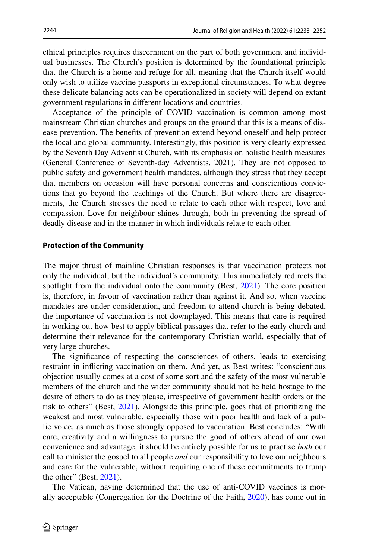ethical principles requires discernment on the part of both government and individual businesses. The Church's position is determined by the foundational principle that the Church is a home and refuge for all, meaning that the Church itself would only wish to utilize vaccine passports in exceptional circumstances. To what degree these delicate balancing acts can be operationalized in society will depend on extant government regulations in diferent locations and countries.

Acceptance of the principle of COVID vaccination is common among most mainstream Christian churches and groups on the ground that this is a means of disease prevention. The benefts of prevention extend beyond oneself and help protect the local and global community. Interestingly, this position is very clearly expressed by the Seventh Day Adventist Church, with its emphasis on holistic health measures (General Conference of Seventh-day Adventists, 2021). They are not opposed to public safety and government health mandates, although they stress that they accept that members on occasion will have personal concerns and conscientious convictions that go beyond the teachings of the Church. But where there are disagreements, the Church stresses the need to relate to each other with respect, love and compassion. Love for neighbour shines through, both in preventing the spread of deadly disease and in the manner in which individuals relate to each other.

#### **Protection of the Community**

The major thrust of mainline Christian responses is that vaccination protects not only the individual, but the individual's community. This immediately redirects the spotlight from the individual onto the community (Best, [2021\)](#page-17-16). The core position is, therefore, in favour of vaccination rather than against it. And so, when vaccine mandates are under consideration, and freedom to attend church is being debated, the importance of vaccination is not downplayed. This means that care is required in working out how best to apply biblical passages that refer to the early church and determine their relevance for the contemporary Christian world, especially that of very large churches.

The signifcance of respecting the consciences of others, leads to exercising restraint in inficting vaccination on them. And yet, as Best writes: "conscientious objection usually comes at a cost of some sort and the safety of the most vulnerable members of the church and the wider community should not be held hostage to the desire of others to do as they please, irrespective of government health orders or the risk to others" (Best, [2021\)](#page-17-16). Alongside this principle, goes that of prioritizing the weakest and most vulnerable, especially those with poor health and lack of a public voice, as much as those strongly opposed to vaccination. Best concludes: "With care, creativity and a willingness to pursue the good of others ahead of our own convenience and advantage, it should be entirely possible for us to practise *both* our call to minister the gospel to all people *and* our responsibility to love our neighbours and care for the vulnerable, without requiring one of these commitments to trump the other" (Best,  $2021$ ).

The Vatican, having determined that the use of anti-COVID vaccines is morally acceptable (Congregation for the Doctrine of the Faith, [2020](#page-17-6)), has come out in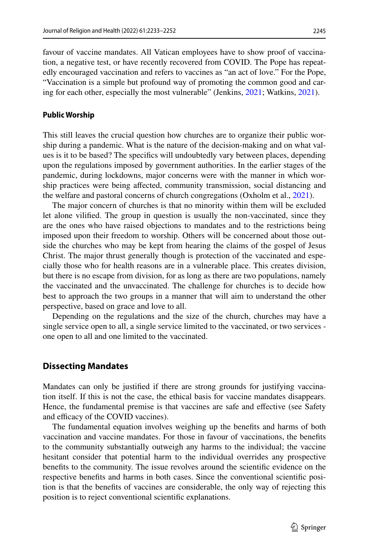favour of vaccine mandates. All Vatican employees have to show proof of vaccination, a negative test, or have recently recovered from COVID. The Pope has repeatedly encouraged vaccination and refers to vaccines as "an act of love." For the Pope, "Vaccination is a simple but profound way of promoting the common good and caring for each other, especially the most vulnerable" (Jenkins, [2021](#page-17-17); Watkins, [2021](#page-18-19)).

#### **Public Worship**

This still leaves the crucial question how churches are to organize their public worship during a pandemic. What is the nature of the decision-making and on what values is it to be based? The specifcs will undoubtedly vary between places, depending upon the regulations imposed by government authorities. In the earlier stages of the pandemic, during lockdowns, major concerns were with the manner in which worship practices were being afected, community transmission, social distancing and the welfare and pastoral concerns of church congregations (Oxholm et al., [2021\)](#page-18-20).

The major concern of churches is that no minority within them will be excluded let alone vilifed. The group in question is usually the non-vaccinated, since they are the ones who have raised objections to mandates and to the restrictions being imposed upon their freedom to worship. Others will be concerned about those outside the churches who may be kept from hearing the claims of the gospel of Jesus Christ. The major thrust generally though is protection of the vaccinated and especially those who for health reasons are in a vulnerable place. This creates division, but there is no escape from division, for as long as there are two populations, namely the vaccinated and the unvaccinated. The challenge for churches is to decide how best to approach the two groups in a manner that will aim to understand the other perspective, based on grace and love to all.

Depending on the regulations and the size of the church, churches may have a single service open to all, a single service limited to the vaccinated, or two services one open to all and one limited to the vaccinated.

# **Dissecting Mandates**

Mandates can only be justifed if there are strong grounds for justifying vaccination itself. If this is not the case, the ethical basis for vaccine mandates disappears. Hence, the fundamental premise is that vaccines are safe and efective (see Safety and efficacy of the COVID vaccines).

The fundamental equation involves weighing up the benefts and harms of both vaccination and vaccine mandates. For those in favour of vaccinations, the benefts to the community substantially outweigh any harms to the individual; the vaccine hesitant consider that potential harm to the individual overrides any prospective benefts to the community. The issue revolves around the scientifc evidence on the respective benefts and harms in both cases. Since the conventional scientifc position is that the benefts of vaccines are considerable, the only way of rejecting this position is to reject conventional scientifc explanations.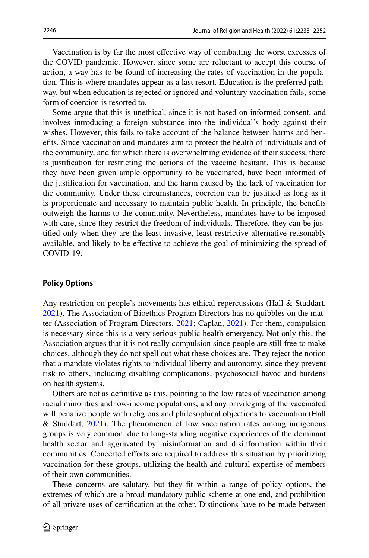Vaccination is by far the most efective way of combatting the worst excesses of the COVID pandemic. However, since some are reluctant to accept this course of action, a way has to be found of increasing the rates of vaccination in the population. This is where mandates appear as a last resort. Education is the preferred pathway, but when education is rejected or ignored and voluntary vaccination fails, some form of coercion is resorted to.

Some argue that this is unethical, since it is not based on informed consent, and involves introducing a foreign substance into the individual's body against their wishes. However, this fails to take account of the balance between harms and benefts. Since vaccination and mandates aim to protect the health of individuals and of the community, and for which there is overwhelming evidence of their success, there is justifcation for restricting the actions of the vaccine hesitant. This is because they have been given ample opportunity to be vaccinated, have been informed of the justifcation for vaccination, and the harm caused by the lack of vaccination for the community. Under these circumstances, coercion can be justifed as long as it is proportionate and necessary to maintain public health. In principle, the benefts outweigh the harms to the community. Nevertheless, mandates have to be imposed with care, since they restrict the freedom of individuals. Therefore, they can be justifed only when they are the least invasive, least restrictive alternative reasonably available, and likely to be efective to achieve the goal of minimizing the spread of COVID-19.

### **Policy Options**

Any restriction on people's movements has ethical repercussions (Hall & Studdart, [2021](#page-17-18)). The Association of Bioethics Program Directors has no quibbles on the matter (Association of Program Directors, [2021](#page-16-1); Caplan, [2021](#page-17-19)). For them, compulsion is necessary since this is a very serious public health emergency. Not only this, the Association argues that it is not really compulsion since people are still free to make choices, although they do not spell out what these choices are. They reject the notion that a mandate violates rights to individual liberty and autonomy, since they prevent risk to others, including disabling complications, psychosocial havoc and burdens on health systems.

Others are not as defnitive as this, pointing to the low rates of vaccination among racial minorities and low-income populations, and any privileging of the vaccinated will penalize people with religious and philosophical objections to vaccination (Hall & Studdart, [2021\)](#page-17-18). The phenomenon of low vaccination rates among indigenous groups is very common, due to long-standing negative experiences of the dominant health sector and aggravated by misinformation and disinformation within their communities. Concerted eforts are required to address this situation by prioritizing vaccination for these groups, utilizing the health and cultural expertise of members of their own communities.

These concerns are salutary, but they ft within a range of policy options, the extremes of which are a broad mandatory public scheme at one end, and prohibition of all private uses of certifcation at the other. Distinctions have to be made between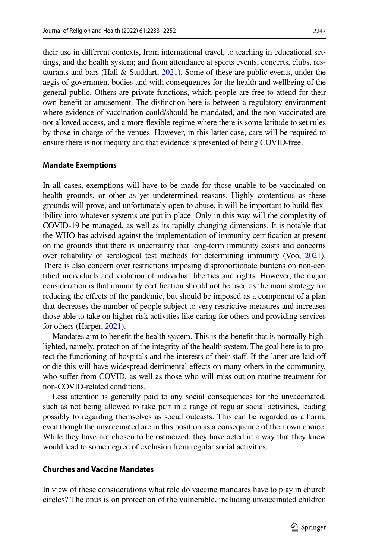their use in diferent contexts, from international travel, to teaching in educational settings, and the health system; and from attendance at sports events, concerts, clubs, restaurants and bars (Hall & Studdart, [2021\)](#page-17-18). Some of these are public events, under the aegis of government bodies and with consequences for the health and wellbeing of the general public. Others are private functions, which people are free to attend for their own beneft or amusement. The distinction here is between a regulatory environment where evidence of vaccination could/should be mandated, and the non-vaccinated are not allowed access, and a more fexible regime where there is some latitude to set rules by those in charge of the venues. However, in this latter case, care will be required to ensure there is not inequity and that evidence is presented of being COVID-free.

#### **Mandate Exemptions**

In all cases, exemptions will have to be made for those unable to be vaccinated on health grounds, or other as yet undetermined reasons. Highly contentious as these grounds will prove, and unfortunately open to abuse, it will be important to build fexibility into whatever systems are put in place. Only in this way will the complexity of COVID-19 be managed, as well as its rapidly changing dimensions. It is notable that the WHO has advised against the implementation of immunity certifcation at present on the grounds that there is uncertainty that long-term immunity exists and concerns over reliability of serological test methods for determining immunity (Voo, [2021\)](#page-18-21). There is also concern over restrictions imposing disproportionate burdens on non-certifed individuals and violation of individual liberties and rights. However, the major consideration is that immunity certifcation should not be used as the main strategy for reducing the efects of the pandemic, but should be imposed as a component of a plan that decreases the number of people subject to very restrictive measures and increases those able to take on higher-risk activities like caring for others and providing services for others (Harper, [2021\)](#page-17-20).

Mandates aim to beneft the health system. This is the beneft that is normally highlighted, namely, protection of the integrity of the health system. The goal here is to protect the functioning of hospitals and the interests of their staf. If the latter are laid of or die this will have widespread detrimental efects on many others in the community, who suffer from COVID, as well as those who will miss out on routine treatment for non-COVID-related conditions.

Less attention is generally paid to any social consequences for the unvaccinated, such as not being allowed to take part in a range of regular social activities, leading possibly to regarding themselves as social outcasts. This can be regarded as a harm, even though the unvaccinated are in this position as a consequence of their own choice. While they have not chosen to be ostracized, they have acted in a way that they knew would lead to some degree of exclusion from regular social activities.

# **Churches and Vaccine Mandates**

In view of these considerations what role do vaccine mandates have to play in church circles? The onus is on protection of the vulnerable, including unvaccinated children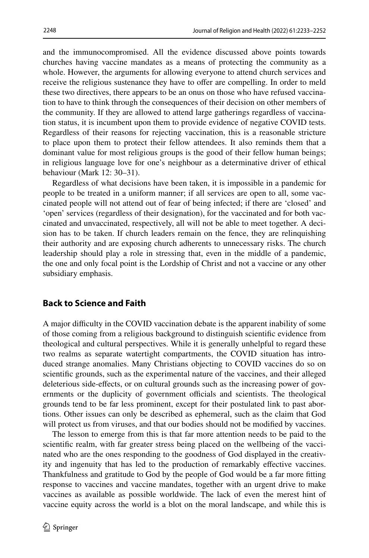and the immunocompromised. All the evidence discussed above points towards churches having vaccine mandates as a means of protecting the community as a whole. However, the arguments for allowing everyone to attend church services and receive the religious sustenance they have to ofer are compelling. In order to meld these two directives, there appears to be an onus on those who have refused vaccination to have to think through the consequences of their decision on other members of the community. If they are allowed to attend large gatherings regardless of vaccination status, it is incumbent upon them to provide evidence of negative COVID tests. Regardless of their reasons for rejecting vaccination, this is a reasonable stricture to place upon them to protect their fellow attendees. It also reminds them that a dominant value for most religious groups is the good of their fellow human beings; in religious language love for one's neighbour as a determinative driver of ethical behaviour (Mark 12: 30–31).

Regardless of what decisions have been taken, it is impossible in a pandemic for people to be treated in a uniform manner; if all services are open to all, some vaccinated people will not attend out of fear of being infected; if there are 'closed' and 'open' services (regardless of their designation), for the vaccinated and for both vaccinated and unvaccinated, respectively, all will not be able to meet together. A decision has to be taken. If church leaders remain on the fence, they are relinquishing their authority and are exposing church adherents to unnecessary risks. The church leadership should play a role in stressing that, even in the middle of a pandemic, the one and only focal point is the Lordship of Christ and not a vaccine or any other subsidiary emphasis.

# **Back to Science and Faith**

A major difculty in the COVID vaccination debate is the apparent inability of some of those coming from a religious background to distinguish scientifc evidence from theological and cultural perspectives. While it is generally unhelpful to regard these two realms as separate watertight compartments, the COVID situation has introduced strange anomalies. Many Christians objecting to COVID vaccines do so on scientifc grounds, such as the experimental nature of the vaccines, and their alleged deleterious side-efects, or on cultural grounds such as the increasing power of governments or the duplicity of government officials and scientists. The theological grounds tend to be far less prominent, except for their postulated link to past abortions. Other issues can only be described as ephemeral, such as the claim that God will protect us from viruses, and that our bodies should not be modifed by vaccines.

The lesson to emerge from this is that far more attention needs to be paid to the scientifc realm, with far greater stress being placed on the wellbeing of the vaccinated who are the ones responding to the goodness of God displayed in the creativity and ingenuity that has led to the production of remarkably efective vaccines. Thankfulness and gratitude to God by the people of God would be a far more ftting response to vaccines and vaccine mandates, together with an urgent drive to make vaccines as available as possible worldwide. The lack of even the merest hint of vaccine equity across the world is a blot on the moral landscape, and while this is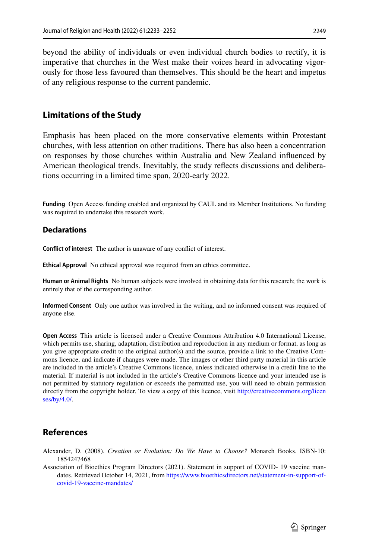beyond the ability of individuals or even individual church bodies to rectify, it is imperative that churches in the West make their voices heard in advocating vigorously for those less favoured than themselves. This should be the heart and impetus of any religious response to the current pandemic.

# **Limitations of the Study**

Emphasis has been placed on the more conservative elements within Protestant churches, with less attention on other traditions. There has also been a concentration on responses by those churches within Australia and New Zealand infuenced by American theological trends. Inevitably, the study refects discussions and deliberations occurring in a limited time span, 2020-early 2022.

**Funding** Open Access funding enabled and organized by CAUL and its Member Institutions. No funding was required to undertake this research work.

## **Declarations**

**Confict of interest** The author is unaware of any confict of interest.

**Ethical Approval** No ethical approval was required from an ethics committee.

**Human or Animal Rights** No human subjects were involved in obtaining data for this research; the work is entirely that of the corresponding author.

**Informed Consent** Only one author was involved in the writing, and no informed consent was required of anyone else.

**Open Access** This article is licensed under a Creative Commons Attribution 4.0 International License, which permits use, sharing, adaptation, distribution and reproduction in any medium or format, as long as you give appropriate credit to the original author(s) and the source, provide a link to the Creative Commons licence, and indicate if changes were made. The images or other third party material in this article are included in the article's Creative Commons licence, unless indicated otherwise in a credit line to the material. If material is not included in the article's Creative Commons licence and your intended use is not permitted by statutory regulation or exceeds the permitted use, you will need to obtain permission directly from the copyright holder. To view a copy of this licence, visit [http://creativecommons.org/licen](http://creativecommons.org/licenses/by/4.0/) [ses/by/4.0/](http://creativecommons.org/licenses/by/4.0/).

# **References**

- <span id="page-16-0"></span>Alexander, D. (2008). *Creation or Evolution: Do We Have to Choose?* Monarch Books. ISBN-10: 1854247468
- <span id="page-16-1"></span>Association of Bioethics Program Directors (2021). Statement in support of COVID- 19 vaccine mandates. Retrieved October 14, 2021, from [https://www.bioethicsdirectors.net/statement-in-support-of](https://www.bioethicsdirectors.net/statement-in-support-of-covid-19-vaccine-mandates/)[covid-19-vaccine-mandates/](https://www.bioethicsdirectors.net/statement-in-support-of-covid-19-vaccine-mandates/)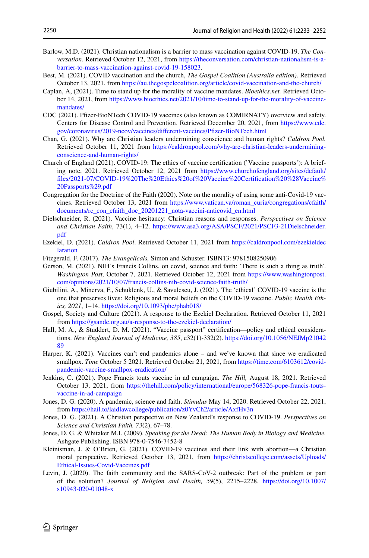- <span id="page-17-2"></span>Barlow, M.D. (2021). Christian nationalism is a barrier to mass vaccination against COVID-19. *The Conversation.* Retrieved October 12, 2021, from [https://theconversation.com/christian-nationalism-is-a](https://theconversation.com/christian-nationalism-is-a-barrier-to-mass-vaccination-against-covid-19-158023)[barrier-to-mass-vaccination-against-covid-19-158023](https://theconversation.com/christian-nationalism-is-a-barrier-to-mass-vaccination-against-covid-19-158023).
- <span id="page-17-16"></span>Best, M. (2021). COVID vaccination and the church, *The Gospel Coalition (Australia edition)*. Retrieved October 13, 2021, from<https://au.thegospelcoalition.org/article/covid-vaccination-and-the-church/>
- <span id="page-17-19"></span>Caplan, A, (2021). Time to stand up for the morality of vaccine mandates. *Bioethics.net.* Retrieved October 14, 2021, from [https://www.bioethics.net/2021/10/time-to-stand-up-for-the-morality-of-vaccine](https://www.bioethics.net/2021/10/time-to-stand-up-for-the-morality-of-vaccine-mandates/)[mandates/](https://www.bioethics.net/2021/10/time-to-stand-up-for-the-morality-of-vaccine-mandates/)
- <span id="page-17-0"></span>CDC (2021). Pfzer-BioNTech COVID-19 vaccines (also known as COMIRNATY) overview and safety. Centers for Disease Control and Prevention. Retrieved December 20, 2021, from [https://www.cdc.](https://www.cdc.gov/coronavirus/2019-ncov/vaccines/different-vaccines/Pfizer-BioNTech.html) [gov/coronavirus/2019-ncov/vaccines/diferent-vaccines/Pfzer-BioNTech.html](https://www.cdc.gov/coronavirus/2019-ncov/vaccines/different-vaccines/Pfizer-BioNTech.html)
- <span id="page-17-14"></span>Chan, G. (2021). Why are Christian leaders undermining conscience and human rights? *Caldron Pool.* Retrieved October 11, 2021 from [https://caldronpool.com/why-are-christian-leaders-undermining](https://caldronpool.com/why-are-christian-leaders-undermining-conscience-and-human-rights/)[conscience-and-human-rights/](https://caldronpool.com/why-are-christian-leaders-undermining-conscience-and-human-rights/)
- <span id="page-17-15"></span>Church of England (2021). COVID-19: The ethics of vaccine certifcation ('Vaccine passports'): A briefing note, 2021. Retrieved October 12, 2021 from [https://www.churchofengland.org/sites/default/](https://www.churchofengland.org/sites/default/files/2021-07/COVID-19%20The%20Ethics%20of%20Vaccine%20Certification%20%28Vaccine%20Passports%29.pdf) [fles/2021-07/COVID-19%20The%20Ethics%20of%20Vaccine%20Certifcation%20%28Vaccine%](https://www.churchofengland.org/sites/default/files/2021-07/COVID-19%20The%20Ethics%20of%20Vaccine%20Certification%20%28Vaccine%20Passports%29.pdf) [20Passports%29.pdf](https://www.churchofengland.org/sites/default/files/2021-07/COVID-19%20The%20Ethics%20of%20Vaccine%20Certification%20%28Vaccine%20Passports%29.pdf)
- <span id="page-17-6"></span>Congregation for the Doctrine of the Faith (2020). Note on the morality of using some anti-Covid-19 vaccines. Retrieved October 13, 2021 from [https://www.vatican.va/roman\\_curia/congregations/cfaith/](https://www.vatican.va/roman_curia/congregations/cfaith/documents/rc_con_cfaith_doc_20201221_nota-vaccini-anticovid_en.html) [documents/rc\\_con\\_cfaith\\_doc\\_20201221\\_nota-vaccini-anticovid\\_en.html](https://www.vatican.va/roman_curia/congregations/cfaith/documents/rc_con_cfaith_doc_20201221_nota-vaccini-anticovid_en.html)
- <span id="page-17-11"></span>Dielschneider, R. (2021). Vaccine hesitancy: Christian reasons and responses. *Perspectives on Science and Christian Faith*, 73(1), 4–12. [https://www.asa3.org/ASA/PSCF/2021/PSCF3-21Dielschneider.](https://www.asa3.org/ASA/PSCF/2021/PSCF3-21Dielschneider.pdf) [pdf](https://www.asa3.org/ASA/PSCF/2021/PSCF3-21Dielschneider.pdf)
- <span id="page-17-12"></span>Ezekiel, D. (2021). *Caldron Pool*. Retrieved October 11, 2021 from [https://caldronpool.com/ezekieldec](https://caldronpool.com/ezekieldeclaration) [laration](https://caldronpool.com/ezekieldeclaration)
- <span id="page-17-3"></span>Fitzgerald, F. (2017). *The Evangelicals,* Simon and Schuster. ISBN13: 9781508250906
- <span id="page-17-1"></span>Gerson, M. (2021). NIH's Francis Collins, on covid, science and faith: 'There is such a thing as truth'. *Washington Post,* October 7, 2021. Retrieved October 12, 2021 from [https://www.washingtonpost.](https://www.washingtonpost.com/opinions/2021/10/07/francis-collins-nih-covid-science-faith-truth/) [com/opinions/2021/10/07/francis-collins-nih-covid-science-faith-truth/](https://www.washingtonpost.com/opinions/2021/10/07/francis-collins-nih-covid-science-faith-truth/)
- <span id="page-17-4"></span>Giubilini, A., Minerva, F., Schuklenk, U., & Savulescu, J. (2021). The 'ethical' COVID-19 vaccine is the one that preserves lives: Religious and moral beliefs on the COVID-19 vaccine. *Public Health Ethics, 2021*, 1–14. <https://doi.org/10.1093/phe/phab018/>
- <span id="page-17-13"></span>Gospel, Society and Culture (2021). A response to the Ezekiel Declaration. Retrieved October 11, 2021 from <https://gsandc.org.au/a-response-to-the-ezekiel-declaration/>
- <span id="page-17-18"></span>Hall, M. A., & Studdert, D. M. (2021). "Vaccine passport" certifcation—policy and ethical considerations. *New England Journal of Medicine, 385*, e32(1)-332(2). [https://doi.org/10.1056/NEJMp21042](https://doi.org/10.1056/NEJMp2104289) [89](https://doi.org/10.1056/NEJMp2104289)
- <span id="page-17-20"></span>Harper, K. (2021). Vaccines can't end pandemics alone – and we've known that since we eradicated smallpox. *Time* October 5 2021. Retrieved October 21, 2021, from [https://time.com/6103612/covid](https://time.com/6103612/covid-pandemic-vaccine-smallpox-eradication/)[pandemic-vaccine-smallpox-eradication/](https://time.com/6103612/covid-pandemic-vaccine-smallpox-eradication/)
- <span id="page-17-17"></span>Jenkins, C. (2021). Pope Francis touts vaccine in ad campaign. *The Hill,* August 18, 2021. Retrieved October 13, 2021, from [https://thehill.com/policy/international/europe/568326-pope-francis-touts](https://thehill.com/policy/international/europe/568326-pope-francis-touts-vaccine-in-ad-campaign)[vaccine-in-ad-campaign](https://thehill.com/policy/international/europe/568326-pope-francis-touts-vaccine-in-ad-campaign)
- <span id="page-17-9"></span>Jones, D. G. (2020). A pandemic, science and faith. *Stimulus* May 14, 2020. Retrieved October 22, 2021, from <https://hail.to/laidlawcollege/publication/z0YvCh2/article/AxfHv3n>
- <span id="page-17-10"></span>Jones, D. G. (2021). A Christian perspective on New Zealand's response to COVID-19. *Perspectives on Science and Christian Faith, 73*(2), 67–78.
- <span id="page-17-5"></span>Jones, D. G. & Whitaker M.I. (2009). *Speaking for the Dead: The Human Body in Biology and Medicine.* Ashgate Publishing. ISBN 978-0-7546-7452-8
- <span id="page-17-7"></span>Kleinisman, J. & O'Brien, G. (2021). COVID-19 vaccines and their link with abortion—a Christian moral perspective. Retrieved October 13, 2021, from [https://christscollege.com/assets/Uploads/](https://christscollege.com/assets/Uploads/Ethical-Issues-Covid-Vaccines.pdf) [Ethical-Issues-Covid-Vaccines.pdf](https://christscollege.com/assets/Uploads/Ethical-Issues-Covid-Vaccines.pdf)
- <span id="page-17-8"></span>Levin, J. (2020). The faith community and the SARS-CoV-2 outbreak: Part of the problem or part of the solution? *Journal of Religion and Health, 59*(5), 2215–2228. [https://doi.org/10.1007/](https://doi.org/10.1007/s10943-020-01048-x) [s10943-020-01048-x](https://doi.org/10.1007/s10943-020-01048-x)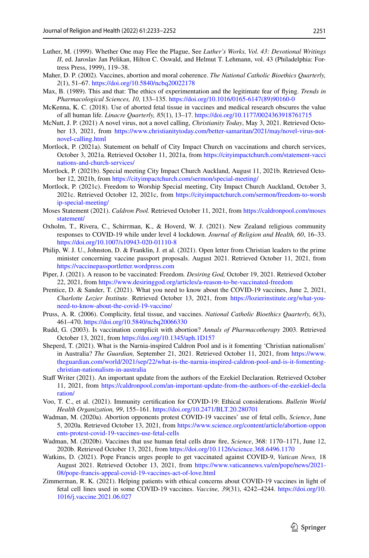- <span id="page-18-1"></span>Luther, M. (1999). Whether One may Flee the Plague, See *Luther's Works, Vol. 43: Devotional Writings II*, ed. Jaroslav Jan Pelikan, Hilton C. Oswald, and Helmut T. Lehmann, vol. 43 (Philadelphia: Fortress Press, 1999), 119–38.
- <span id="page-18-7"></span>Maher, D. P. (2002). Vaccines, abortion and moral coherence. *The National Catholic Bioethics Quarterly, 2*(1), 51–67.<https://doi.org/10.5840/ncbq20022178>
- <span id="page-18-6"></span>Max, B. (1989). This and that: The ethics of experimentation and the legitimate fear of fying. *Trends in Pharmacological Sciences, 10*, 133–135. [https://doi.org/10.1016/0165-6147\(89\)90160-0](https://doi.org/10.1016/0165-6147(89)90160-0)
- <span id="page-18-10"></span>McKenna, K. C. (2018). Use of aborted fetal tissue in vaccines and medical research obscures the value of all human life. *Linacre Quarterly, 85*(1), 13–17.<https://doi.org/10.1177/0024363918761715>
- <span id="page-18-0"></span>McNutt, J. P. (2021) A novel virus, not a novel calling, *Christianity Today*, May 3, 2021. Retrieved October 13, 2021, from [https://www.christianitytoday.com/better-samaritan/2021/may/novel-virus-not](https://www.christianitytoday.com/better-samaritan/2021/may/novel-virus-not-novel-calling.html)[novel-calling.html](https://www.christianitytoday.com/better-samaritan/2021/may/novel-virus-not-novel-calling.html)
- <span id="page-18-11"></span>Mortlock, P. (2021a). Statement on behalf of City Impact Church on vaccinations and church services, October 3, 2021a. Retrieved October 11, 2021a, from [https://cityimpactchurch.com/statement-vacci](https://cityimpactchurch.com/statement-vaccinations-and-church-services/) [nations-and-church-services/](https://cityimpactchurch.com/statement-vaccinations-and-church-services/)
- <span id="page-18-12"></span>Mortlock, P. (2021b). Special meeting City Impact Church Auckland, August 11, 2021b. Retrieved October 12, 2021b, from <https://cityimpactchurch.com/sermon/special-meeting/>
- <span id="page-18-13"></span>Mortlock, P. (2021c). Freedom to Worship Special meeting, City Impact Church Auckland, October 3, 2021c. Retrieved October 12, 2021c, from [https://cityimpactchurch.com/sermon/freedom-to-worsh](https://cityimpactchurch.com/sermon/freedom-to-worship-special-meeting/) [ip-special-meeting/](https://cityimpactchurch.com/sermon/freedom-to-worship-special-meeting/)
- <span id="page-18-16"></span>Moses Statement (2021). *Caldron Pool.* Retrieved October 11, 2021, from [https://caldronpool.com/moses](https://caldronpool.com/mosesstatement/) [statement/](https://caldronpool.com/mosesstatement/)
- <span id="page-18-20"></span>Oxholm, T., Rivera, C., Schirrman, K., & Hoverd, W. J. (2021). New Zealand religious community responses to COVID-19 while under level 4 lockdown. *Journal of Religion and Health, 60*, 16–33. <https://doi.org/10.1007/s10943-020-01110-8>
- <span id="page-18-15"></span>Philip, W. J. U., Johnston, D. & Franklin, J. et al. (2021). Open letter from Christian leaders to the prime minister concerning vaccine passport proposals. August 2021. Retrieved October 11, 2021, from <https://vaccinepassportletter.wordpress.com>
- <span id="page-18-14"></span>Piper, J. (2021). A reason to be vaccinated: Freedom*. Desiring God,* October 19, 2021. Retrieved October 22, 2021, from <https://www.desiringgod.org/articles/a-reason-to-be-vaccinated-freedom>
- <span id="page-18-4"></span>Prentice, D. & Sander, T. (2021). What you need to know about the COVID-19 vaccines, June 2, 2021, *Charlotte Lozier Institute.* Retrieved October 13, 2021, from [https://lozierinstitute.org/what-you](https://lozierinstitute.org/what-you-need-to-know-about-the-covid-19-vaccine/)[need-to-know-about-the-covid-19-vaccine/](https://lozierinstitute.org/what-you-need-to-know-about-the-covid-19-vaccine/)
- <span id="page-18-8"></span>Pruss, A. R. (2006). Complicity, fetal tissue, and vaccines. *National Catholic Bioethics Quarterly, 6*(3), 461–470.<https://doi.org/10.5840/ncbq20066330>
- <span id="page-18-5"></span>Rudd, G. (2003). Is vaccination complicit with abortion? *Annals of Pharmacotherapy* 2003. Retrieved October 13, 2021, from<https://doi.org/10.1345/aph.1D157>
- <span id="page-18-18"></span>Sheperd, T. (2021). What is the Narnia-inspired Caldron Pool and is it fomenting 'Christian nationalism' in Australia? *The Guardian,* September 21, 2021. Retrieved October 11, 2021, from [https://www.](https://www.theguardian.com/world/2021/sep/22/what-is-the-narnia-inspired-caldron-pool-and-is-it-fomenting-christian-nationalism-in-australia) [theguardian.com/world/2021/sep/22/what-is-the-narnia-inspired-caldron-pool-and-is-it-fomenting](https://www.theguardian.com/world/2021/sep/22/what-is-the-narnia-inspired-caldron-pool-and-is-it-fomenting-christian-nationalism-in-australia)[christian-nationalism-in-australia](https://www.theguardian.com/world/2021/sep/22/what-is-the-narnia-inspired-caldron-pool-and-is-it-fomenting-christian-nationalism-in-australia)
- <span id="page-18-17"></span>Staf Writer (2021). An important update from the authors of the Ezekiel Declaration. Retrieved October 11, 2021, from [https://caldronpool.com/an-important-update-from-the-authors-of-the-ezekiel-decla](https://caldronpool.com/an-important-update-from-the-authors-of-the-ezekiel-declaration/) [ration/](https://caldronpool.com/an-important-update-from-the-authors-of-the-ezekiel-declaration/)
- <span id="page-18-21"></span>Voo, T. C., et al. (2021). Immunity certifcation for COVID-19: Ethical considerations. *Bulletin World Health Organization, 99*, 155–161.<https://doi.org/10.2471/BLT.20.280701>
- <span id="page-18-2"></span>Wadman, M. (2020a). Abortion opponents protest COVID-19 vaccines' use of fetal cells, *Science*, June 5, 2020a. Retrieved October 13, 2021, from [https://www.science.org/content/article/abortion-oppon](https://www.science.org/content/article/abortion-opponents-protest-covid-19-vaccines-use-fetal-cells) [ents-protest-covid-19-vaccines-use-fetal-cells](https://www.science.org/content/article/abortion-opponents-protest-covid-19-vaccines-use-fetal-cells)
- <span id="page-18-3"></span>Wadman, M. (2020b). Vaccines that use human fetal cells draw fre, *Science*, 368: 1170–1171, June 12, 2020b. Retrieved October 13, 2021, from<https://doi.org/10.1126/science.368.6496.1170>
- <span id="page-18-19"></span>Watkins, D. (2021). Pope Francis urges people to get vaccinated against COVID-9, *Vatican News,* 18 August 2021. Retrieved October 13, 2021, from [https://www.vaticannews.va/en/pope/news/2021-](https://www.vaticannews.va/en/pope/news/2021-08/pope-francis-appeal-covid-19-vaccines-act-of-love.html) [08/pope-francis-appeal-covid-19-vaccines-act-of-love.html](https://www.vaticannews.va/en/pope/news/2021-08/pope-francis-appeal-covid-19-vaccines-act-of-love.html)
- <span id="page-18-9"></span>Zimmerman, R. K. (2021). Helping patients with ethical concerns about COVID-19 vaccines in light of fetal cell lines used in some COVID-19 vaccines. *Vaccine, 39*(31), 4242–4244. [https://doi.org/10.](https://doi.org/10.1016/j.vaccine.2021.06.027) [1016/j.vaccine.2021.06.027](https://doi.org/10.1016/j.vaccine.2021.06.027)